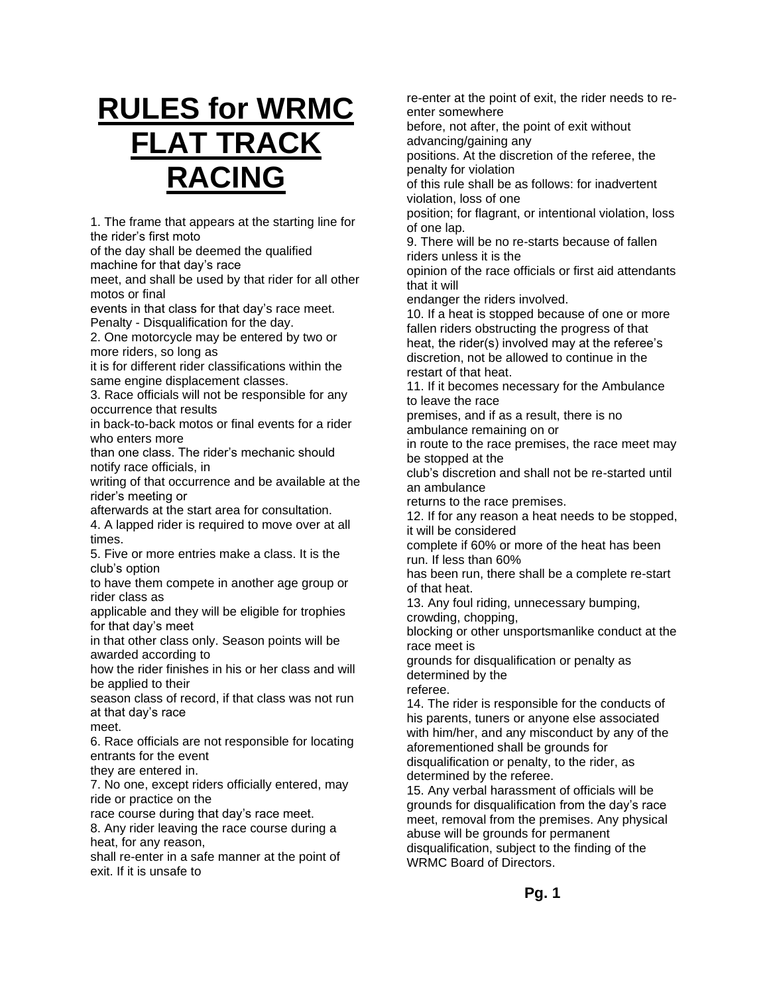# **RULES for WRMC FLAT TRACK RACING**

1. The frame that appears at the starting line for the rider's first moto

of the day shall be deemed the qualified machine for that day's race

meet, and shall be used by that rider for all other motos or final

events in that class for that day's race meet. Penalty - Disqualification for the day.

2. One motorcycle may be entered by two or more riders, so long as

it is for different rider classifications within the same engine displacement classes.

3. Race officials will not be responsible for any occurrence that results

in back-to-back motos or final events for a rider who enters more

than one class. The rider's mechanic should notify race officials, in

writing of that occurrence and be available at the rider's meeting or

afterwards at the start area for consultation.

4. A lapped rider is required to move over at all times.

5. Five or more entries make a class. It is the club's option

to have them compete in another age group or rider class as

applicable and they will be eligible for trophies for that day's meet

in that other class only. Season points will be awarded according to

how the rider finishes in his or her class and will be applied to their

season class of record, if that class was not run at that day's race

meet.

6. Race officials are not responsible for locating entrants for the event

they are entered in.

7. No one, except riders officially entered, may ride or practice on the

race course during that day's race meet. 8. Any rider leaving the race course during a

heat, for any reason,

shall re-enter in a safe manner at the point of exit. If it is unsafe to

re-enter at the point of exit, the rider needs to reenter somewhere

before, not after, the point of exit without advancing/gaining any

positions. At the discretion of the referee, the penalty for violation

of this rule shall be as follows: for inadvertent violation, loss of one

position; for flagrant, or intentional violation, loss of one lap.

9. There will be no re-starts because of fallen riders unless it is the

opinion of the race officials or first aid attendants that it will

endanger the riders involved.

10. If a heat is stopped because of one or more fallen riders obstructing the progress of that heat, the rider(s) involved may at the referee's discretion, not be allowed to continue in the restart of that heat.

11. If it becomes necessary for the Ambulance to leave the race

premises, and if as a result, there is no ambulance remaining on or

in route to the race premises, the race meet may be stopped at the

club's discretion and shall not be re-started until an ambulance

returns to the race premises.

12. If for any reason a heat needs to be stopped, it will be considered

complete if 60% or more of the heat has been run. If less than 60%

has been run, there shall be a complete re-start of that heat.

13. Any foul riding, unnecessary bumping,

crowding, chopping,

blocking or other unsportsmanlike conduct at the race meet is

grounds for disqualification or penalty as determined by the

referee.

14. The rider is responsible for the conducts of his parents, tuners or anyone else associated with him/her, and any misconduct by any of the aforementioned shall be grounds for disqualification or penalty, to the rider, as determined by the referee.

15. Any verbal harassment of officials will be grounds for disqualification from the day's race meet, removal from the premises. Any physical abuse will be grounds for permanent disqualification, subject to the finding of the WRMC Board of Directors.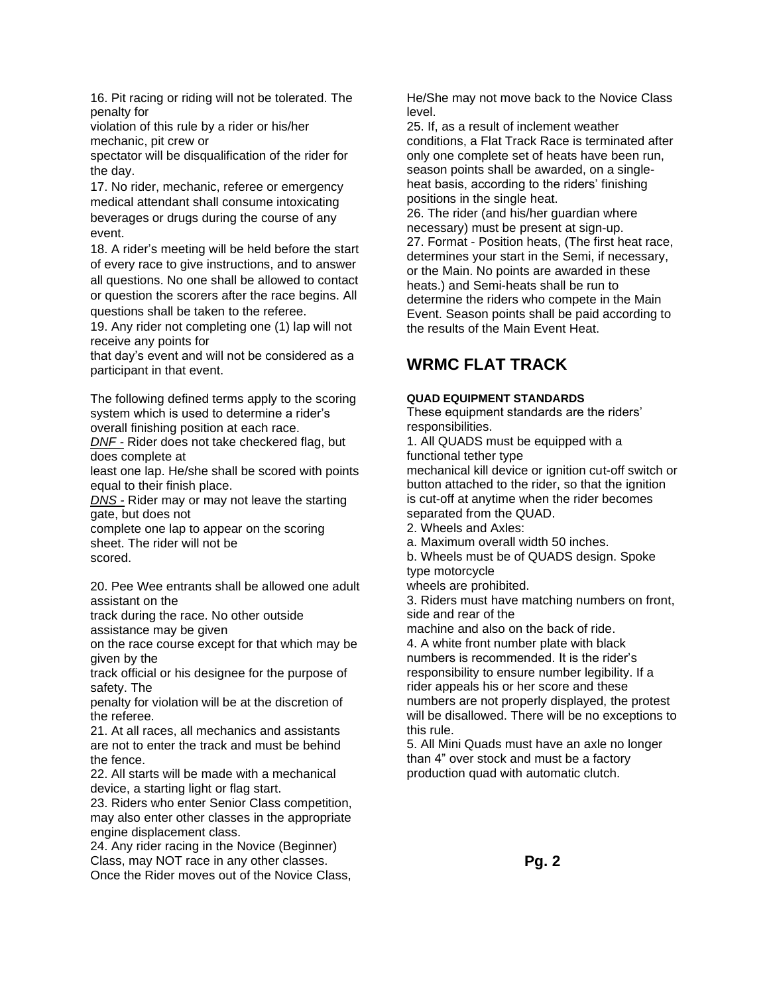16. Pit racing or riding will not be tolerated. The penalty for

violation of this rule by a rider or his/her mechanic, pit crew or

spectator will be disqualification of the rider for the day.

17. No rider, mechanic, referee or emergency medical attendant shall consume intoxicating beverages or drugs during the course of any event.

18. A rider's meeting will be held before the start of every race to give instructions, and to answer all questions. No one shall be allowed to contact or question the scorers after the race begins. All questions shall be taken to the referee.

19. Any rider not completing one (1) lap will not receive any points for

that day's event and will not be considered as a participant in that event.

The following defined terms apply to the scoring system which is used to determine a rider's overall finishing position at each race.

*DNF -* Rider does not take checkered flag, but does complete at

least one lap. He/she shall be scored with points equal to their finish place.

*DNS -* Rider may or may not leave the starting gate, but does not

complete one lap to appear on the scoring sheet. The rider will not be scored.

20. Pee Wee entrants shall be allowed one adult assistant on the

track during the race. No other outside assistance may be given

on the race course except for that which may be given by the

track official or his designee for the purpose of safety. The

penalty for violation will be at the discretion of the referee.

21. At all races, all mechanics and assistants are not to enter the track and must be behind the fence.

22. All starts will be made with a mechanical device, a starting light or flag start.

23. Riders who enter Senior Class competition, may also enter other classes in the appropriate engine displacement class.

24. Any rider racing in the Novice (Beginner) Class, may NOT race in any other classes. Once the Rider moves out of the Novice Class, He/She may not move back to the Novice Class level.

25. If, as a result of inclement weather conditions, a Flat Track Race is terminated after only one complete set of heats have been run, season points shall be awarded, on a singleheat basis, according to the riders' finishing positions in the single heat.

26. The rider (and his/her guardian where necessary) must be present at sign-up. 27. Format - Position heats, (The first heat race, determines your start in the Semi, if necessary, or the Main. No points are awarded in these heats.) and Semi-heats shall be run to determine the riders who compete in the Main Event. Season points shall be paid according to the results of the Main Event Heat.

# **WRMC FLAT TRACK**

# **QUAD EQUIPMENT STANDARDS**

These equipment standards are the riders' responsibilities.

1. All QUADS must be equipped with a functional tether type

mechanical kill device or ignition cut-off switch or button attached to the rider, so that the ignition is cut-off at anytime when the rider becomes separated from the QUAD.

- 2. Wheels and Axles:
- a. Maximum overall width 50 inches.

b. Wheels must be of QUADS design. Spoke type motorcycle

wheels are prohibited.

3. Riders must have matching numbers on front, side and rear of the

machine and also on the back of ride.

4. A white front number plate with black numbers is recommended. It is the rider's responsibility to ensure number legibility. If a rider appeals his or her score and these numbers are not properly displayed, the protest will be disallowed. There will be no exceptions to this rule.

5. All Mini Quads must have an axle no longer than 4" over stock and must be a factory production quad with automatic clutch.